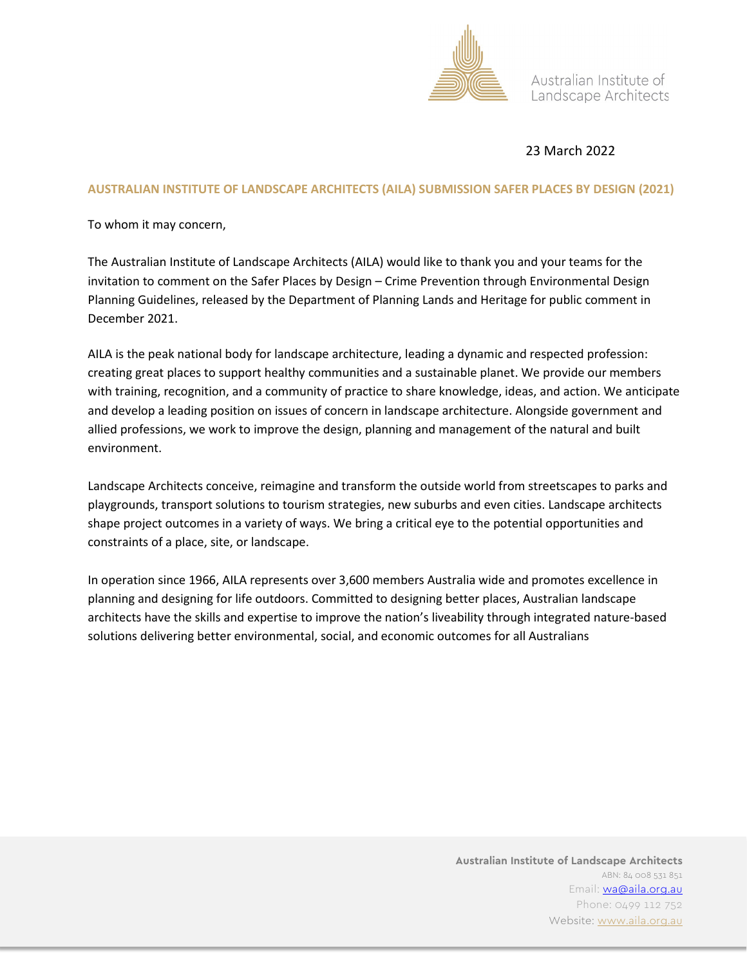

Australian Institute of Landscape Architects

## 23 March 2022

#### **AUSTRALIAN INSTITUTE OF LANDSCAPE ARCHITECTS (AILA) SUBMISSION SAFER PLACES BY DESIGN (2021)**

To whom it may concern,

The Australian Institute of Landscape Architects (AILA) would like to thank you and your teams for the invitation to comment on the Safer Places by Design – Crime Prevention through Environmental Design Planning Guidelines, released by the Department of Planning Lands and Heritage for public comment in December 2021.

AILA is the peak national body for landscape architecture, leading a dynamic and respected profession: creating great places to support healthy communities and a sustainable planet. We provide our members with training, recognition, and a community of practice to share knowledge, ideas, and action. We anticipate and develop a leading position on issues of concern in landscape architecture. Alongside government and allied professions, we work to improve the design, planning and management of the natural and built environment.

Landscape Architects conceive, reimagine and transform the outside world from streetscapes to parks and playgrounds, transport solutions to tourism strategies, new suburbs and even cities. Landscape architects shape project outcomes in a variety of ways. We bring a critical eye to the potential opportunities and constraints of a place, site, or landscape.

In operation since 1966, AILA represents over 3,600 members Australia wide and promotes excellence in planning and designing for life outdoors. Committed to designing better places, Australian landscape architects have the skills and expertise to improve the nation's liveability through integrated nature-based solutions delivering better environmental, social, and economic outcomes for all Australians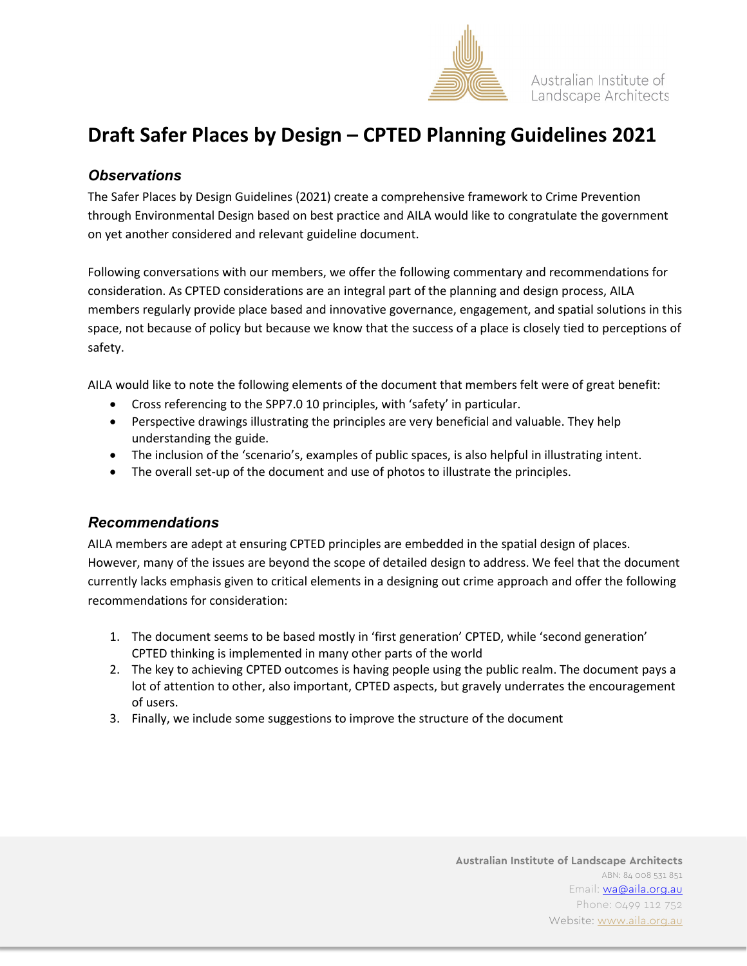

# **Draft Safer Places by Design – CPTED Planning Guidelines 2021**

## *Observations*

The Safer Places by Design Guidelines (2021) create a comprehensive framework to Crime Prevention through Environmental Design based on best practice and AILA would like to congratulate the government on yet another considered and relevant guideline document.

Following conversations with our members, we offer the following commentary and recommendations for consideration. As CPTED considerations are an integral part of the planning and design process, AILA members regularly provide place based and innovative governance, engagement, and spatial solutions in this space, not because of policy but because we know that the success of a place is closely tied to perceptions of safety.

AILA would like to note the following elements of the document that members felt were of great benefit:

- Cross referencing to the SPP7.0 10 principles, with 'safety' in particular.
- Perspective drawings illustrating the principles are very beneficial and valuable. They help understanding the guide.
- The inclusion of the 'scenario's, examples of public spaces, is also helpful in illustrating intent.
- The overall set-up of the document and use of photos to illustrate the principles.

#### *Recommendations*

AILA members are adept at ensuring CPTED principles are embedded in the spatial design of places. However, many of the issues are beyond the scope of detailed design to address. We feel that the document currently lacks emphasis given to critical elements in a designing out crime approach and offer the following recommendations for consideration:

- 1. The document seems to be based mostly in 'first generation' CPTED, while 'second generation' CPTED thinking is implemented in many other parts of the world
- 2. The key to achieving CPTED outcomes is having people using the public realm. The document pays a lot of attention to other, also important, CPTED aspects, but gravely underrates the encouragement of users.
- 3. Finally, we include some suggestions to improve the structure of the document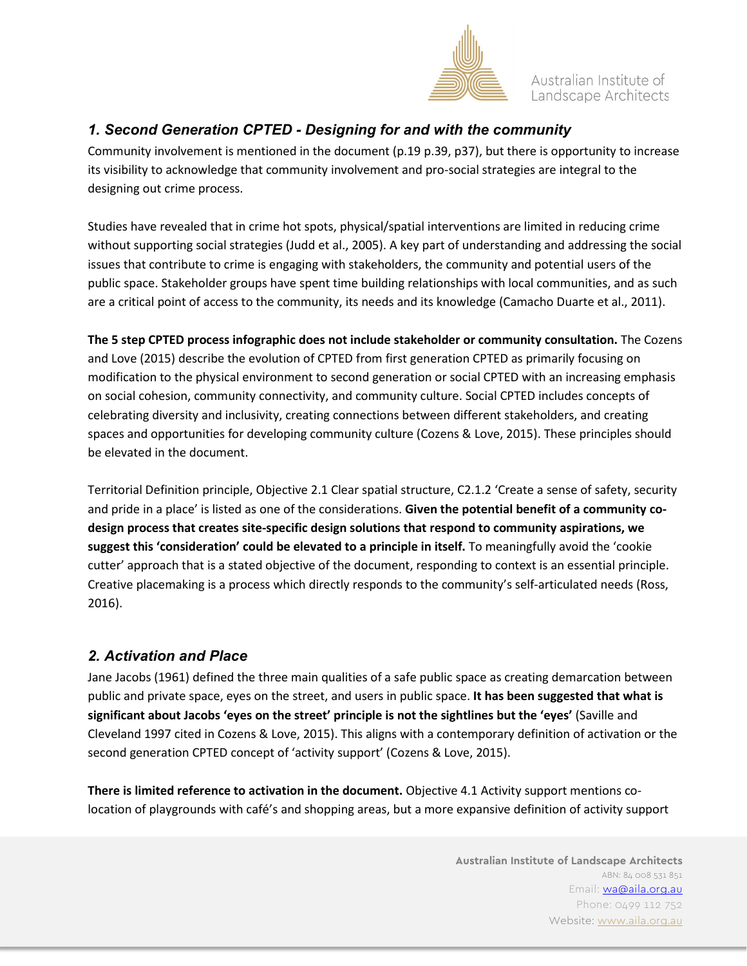

Australian Institute of Landscape Architects

# *1. Second Generation CPTED - Designing for and with the community*

Community involvement is mentioned in the document (p.19 p.39, p37), but there is opportunity to increase its visibility to acknowledge that community involvement and pro-social strategies are integral to the designing out crime process.

Studies have revealed that in crime hot spots, physical/spatial interventions are limited in reducing crime without supporting social strategies (Judd et al., 2005). A key part of understanding and addressing the social issues that contribute to crime is engaging with stakeholders, the community and potential users of the public space. Stakeholder groups have spent time building relationships with local communities, and as such are a critical point of access to the community, its needs and its knowledge (Camacho Duarte et al., 2011).

**The 5 step CPTED process infographic does not include stakeholder or community consultation.** The Cozens and Love (2015) describe the evolution of CPTED from first generation CPTED as primarily focusing on modification to the physical environment to second generation or social CPTED with an increasing emphasis on social cohesion, community connectivity, and community culture. Social CPTED includes concepts of celebrating diversity and inclusivity, creating connections between different stakeholders, and creating spaces and opportunities for developing community culture (Cozens & Love, 2015). These principles should be elevated in the document.

Territorial Definition principle, Objective 2.1 Clear spatial structure, C2.1.2 'Create a sense of safety, security and pride in a place' is listed as one of the considerations. **Given the potential benefit of a community codesign process that creates site-specific design solutions that respond to community aspirations, we suggest this 'consideration' could be elevated to a principle in itself.** To meaningfully avoid the 'cookie cutter' approach that is a stated objective of the document, responding to context is an essential principle. Creative placemaking is a process which directly responds to the community's self-articulated needs (Ross, 2016).

## *2. Activation and Place*

Jane Jacobs (1961) defined the three main qualities of a safe public space as creating demarcation between public and private space, eyes on the street, and users in public space. **It has been suggested that what is significant about Jacobs 'eyes on the street' principle is not the sightlines but the 'eyes'** (Saville and Cleveland 1997 cited in Cozens & Love, 2015). This aligns with a contemporary definition of activation or the second generation CPTED concept of 'activity support' (Cozens & Love, 2015).

**There is limited reference to activation in the document.** Objective 4.1 Activity support mentions colocation of playgrounds with café's and shopping areas, but a more expansive definition of activity support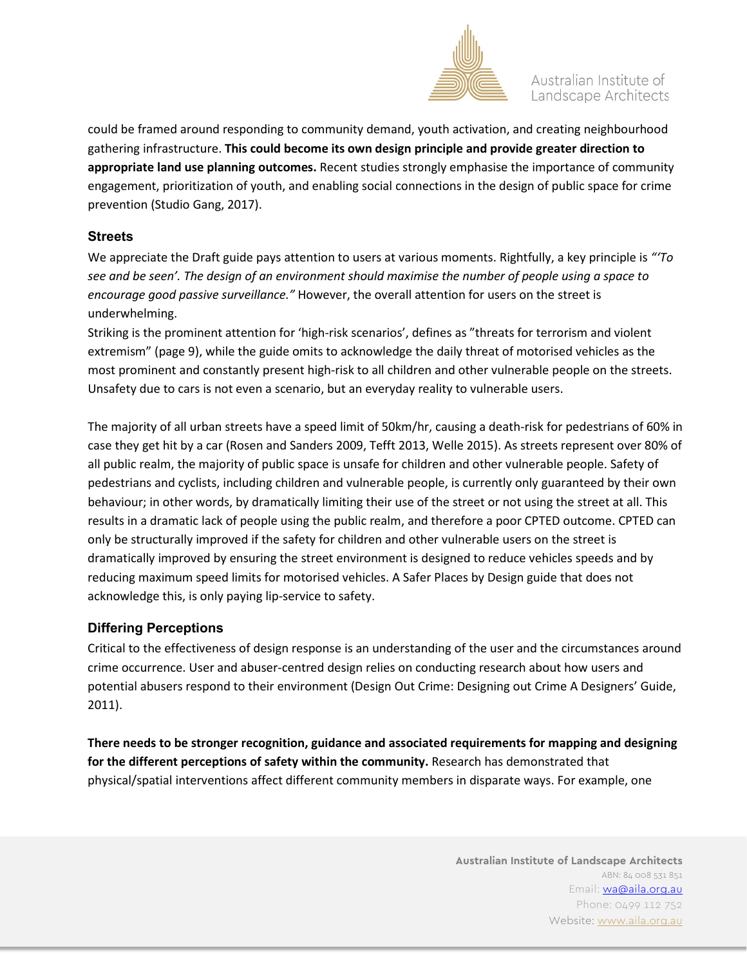

could be framed around responding to community demand, youth activation, and creating neighbourhood gathering infrastructure. **This could become its own design principle and provide greater direction to appropriate land use planning outcomes.** Recent studies strongly emphasise the importance of community engagement, prioritization of youth, and enabling social connections in the design of public space for crime prevention (Studio Gang, 2017).

#### **Streets**

We appreciate the Draft guide pays attention to users at various moments. Rightfully, a key principle is *"'To see and be seen'. The design of an environment should maximise the number of people using a space to encourage good passive surveillance."* However, the overall attention for users on the street is underwhelming.

Striking is the prominent attention for 'high-risk scenarios', defines as "threats for terrorism and violent extremism" (page 9), while the guide omits to acknowledge the daily threat of motorised vehicles as the most prominent and constantly present high-risk to all children and other vulnerable people on the streets. Unsafety due to cars is not even a scenario, but an everyday reality to vulnerable users.

The majority of all urban streets have a speed limit of 50km/hr, causing a death-risk for pedestrians of 60% in case they get hit by a car (Rosen and Sanders 2009, Tefft 2013, Welle 2015). As streets represent over 80% of all public realm, the majority of public space is unsafe for children and other vulnerable people. Safety of pedestrians and cyclists, including children and vulnerable people, is currently only guaranteed by their own behaviour; in other words, by dramatically limiting their use of the street or not using the street at all. This results in a dramatic lack of people using the public realm, and therefore a poor CPTED outcome. CPTED can only be structurally improved if the safety for children and other vulnerable users on the street is dramatically improved by ensuring the street environment is designed to reduce vehicles speeds and by reducing maximum speed limits for motorised vehicles. A Safer Places by Design guide that does not acknowledge this, is only paying lip-service to safety.

#### **Differing Perceptions**

Critical to the effectiveness of design response is an understanding of the user and the circumstances around crime occurrence. User and abuser-centred design relies on conducting research about how users and potential abusers respond to their environment (Design Out Crime: Designing out Crime A Designers' Guide, 2011).

**There needs to be stronger recognition, guidance and associated requirements for mapping and designing for the different perceptions of safety within the community.** Research has demonstrated that physical/spatial interventions affect different community members in disparate ways. For example, one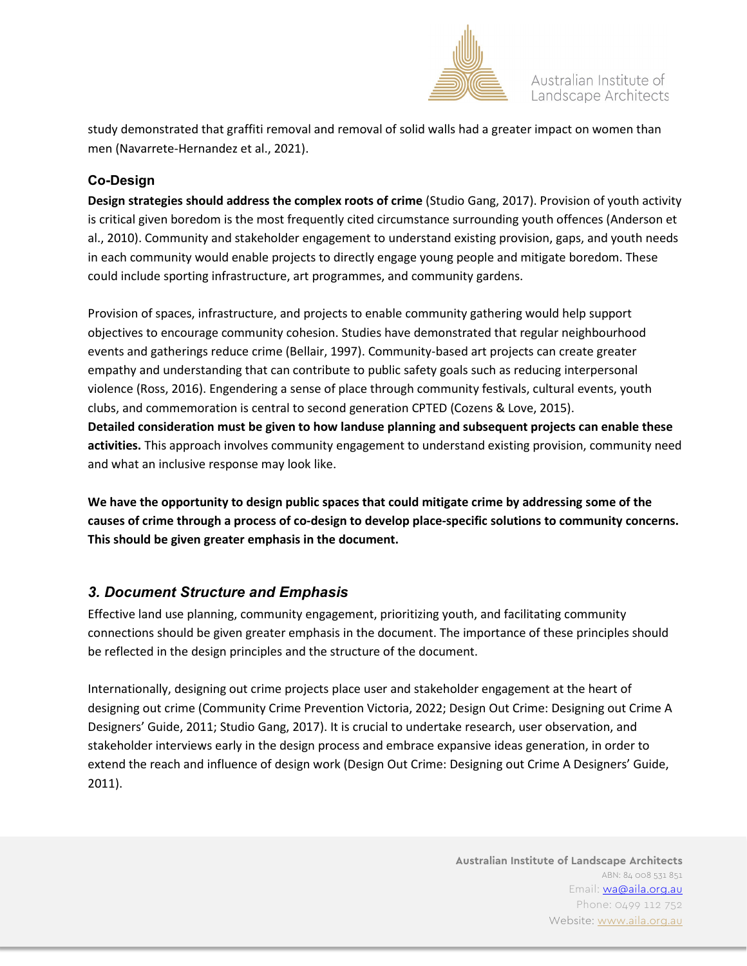

study demonstrated that graffiti removal and removal of solid walls had a greater impact on women than men (Navarrete-Hernandez et al., 2021).

### **Co-Design**

**Design strategies should address the complex roots of crime** (Studio Gang, 2017). Provision of youth activity is critical given boredom is the most frequently cited circumstance surrounding youth offences (Anderson et al., 2010). Community and stakeholder engagement to understand existing provision, gaps, and youth needs in each community would enable projects to directly engage young people and mitigate boredom. These could include sporting infrastructure, art programmes, and community gardens.

Provision of spaces, infrastructure, and projects to enable community gathering would help support objectives to encourage community cohesion. Studies have demonstrated that regular neighbourhood events and gatherings reduce crime (Bellair, 1997). Community-based art projects can create greater empathy and understanding that can contribute to public safety goals such as reducing interpersonal violence (Ross, 2016). Engendering a sense of place through community festivals, cultural events, youth clubs, and commemoration is central to second generation CPTED (Cozens & Love, 2015). **Detailed consideration must be given to how landuse planning and subsequent projects can enable these activities.** This approach involves community engagement to understand existing provision, community need and what an inclusive response may look like.

**We have the opportunity to design public spaces that could mitigate crime by addressing some of the causes of crime through a process of co-design to develop place-specific solutions to community concerns. This should be given greater emphasis in the document.**

## *3. Document Structure and Emphasis*

Effective land use planning, community engagement, prioritizing youth, and facilitating community connections should be given greater emphasis in the document. The importance of these principles should be reflected in the design principles and the structure of the document.

Internationally, designing out crime projects place user and stakeholder engagement at the heart of designing out crime (Community Crime Prevention Victoria, 2022; Design Out Crime: Designing out Crime A Designers' Guide, 2011; Studio Gang, 2017). It is crucial to undertake research, user observation, and stakeholder interviews early in the design process and embrace expansive ideas generation, in order to extend the reach and influence of design work (Design Out Crime: Designing out Crime A Designers' Guide, 2011).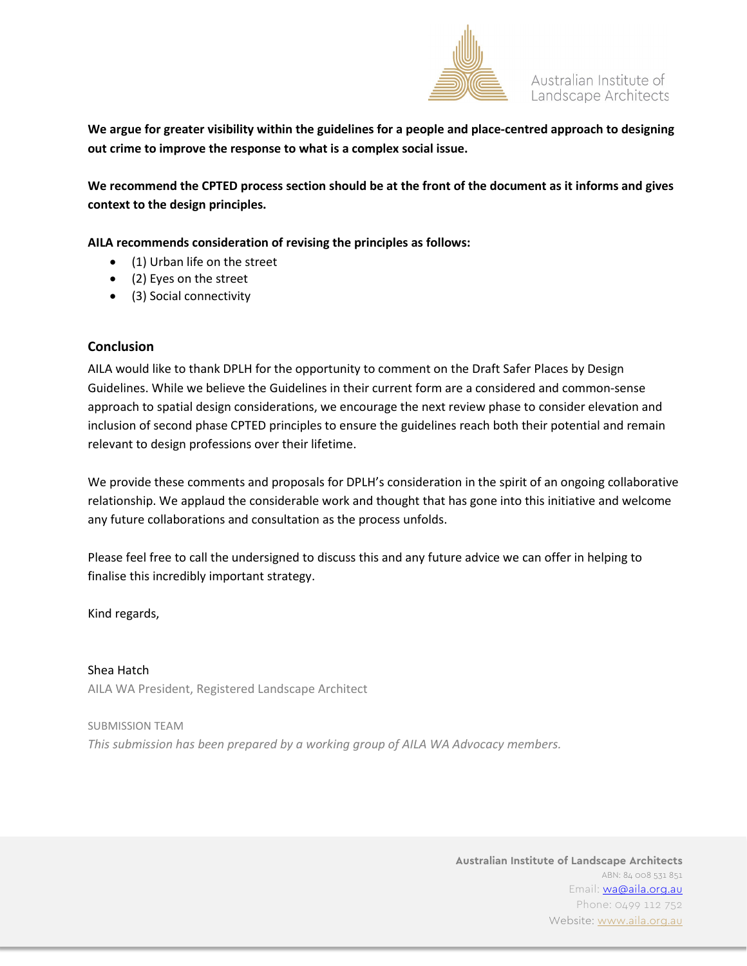

**We argue for greater visibility within the guidelines for a people and place-centred approach to designing out crime to improve the response to what is a complex social issue.** 

**We recommend the CPTED process section should be at the front of the document as it informs and gives context to the design principles.** 

**AILA recommends consideration of revising the principles as follows:** 

- (1) Urban life on the street
- (2) Eyes on the street
- (3) Social connectivity

#### **Conclusion**

AILA would like to thank DPLH for the opportunity to comment on the Draft Safer Places by Design Guidelines. While we believe the Guidelines in their current form are a considered and common-sense approach to spatial design considerations, we encourage the next review phase to consider elevation and inclusion of second phase CPTED principles to ensure the guidelines reach both their potential and remain relevant to design professions over their lifetime.

We provide these comments and proposals for DPLH's consideration in the spirit of an ongoing collaborative relationship. We applaud the considerable work and thought that has gone into this initiative and welcome any future collaborations and consultation as the process unfolds.

Please feel free to call the undersigned to discuss this and any future advice we can offer in helping to finalise this incredibly important strategy.

Kind regards,

Shea Hatch AILA WA President, Registered Landscape Architect

SUBMISSION TEAM *This submission has been prepared by a working group of AILA WA Advocacy members.*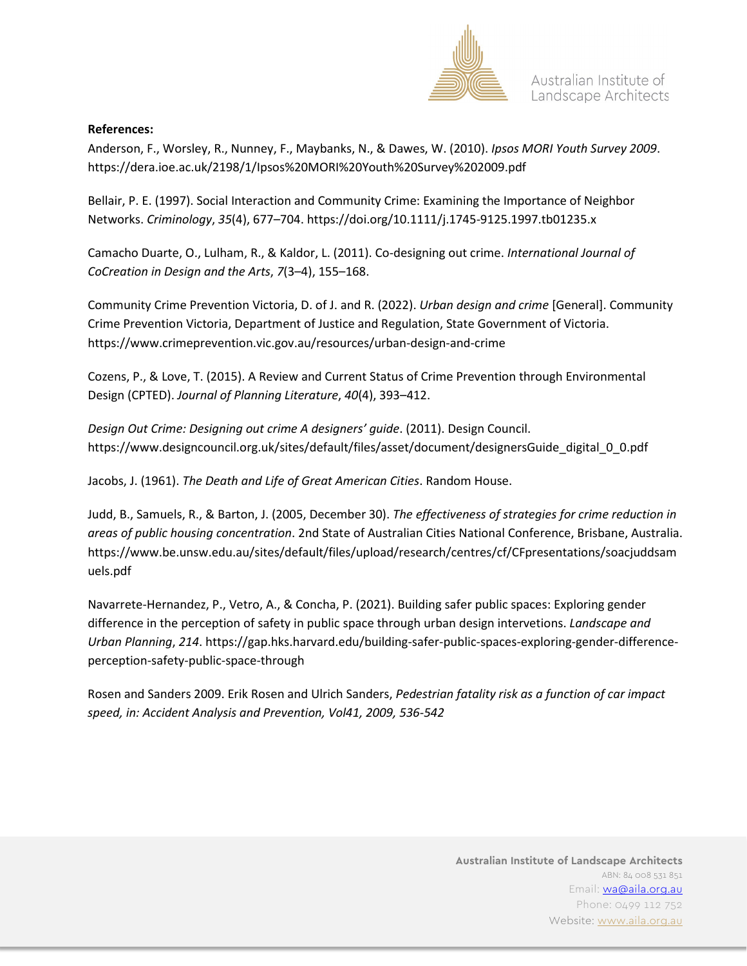

#### **References:**

Anderson, F., Worsley, R., Nunney, F., Maybanks, N., & Dawes, W. (2010). *Ipsos MORI Youth Survey 2009*. https://dera.ioe.ac.uk/2198/1/Ipsos%20MORI%20Youth%20Survey%202009.pdf

Bellair, P. E. (1997). Social Interaction and Community Crime: Examining the Importance of Neighbor Networks. *Criminology*, *35*(4), 677–704. https://doi.org/10.1111/j.1745-9125.1997.tb01235.x

Camacho Duarte, O., Lulham, R., & Kaldor, L. (2011). Co-designing out crime. *International Journal of CoCreation in Design and the Arts*, *7*(3–4), 155–168.

Community Crime Prevention Victoria, D. of J. and R. (2022). *Urban design and crime* [General]. Community Crime Prevention Victoria, Department of Justice and Regulation, State Government of Victoria. https://www.crimeprevention.vic.gov.au/resources/urban-design-and-crime

Cozens, P., & Love, T. (2015). A Review and Current Status of Crime Prevention through Environmental Design (CPTED). *Journal of Planning Literature*, *40*(4), 393–412.

*Design Out Crime: Designing out crime A designers' guide*. (2011). Design Council. https://www.designcouncil.org.uk/sites/default/files/asset/document/designersGuide\_digital\_0\_0.pdf

Jacobs, J. (1961). *The Death and Life of Great American Cities*. Random House.

Judd, B., Samuels, R., & Barton, J. (2005, December 30). *The effectiveness of strategies for crime reduction in areas of public housing concentration*. 2nd State of Australian Cities National Conference, Brisbane, Australia. https://www.be.unsw.edu.au/sites/default/files/upload/research/centres/cf/CFpresentations/soacjuddsam uels.pdf

Navarrete-Hernandez, P., Vetro, A., & Concha, P. (2021). Building safer public spaces: Exploring gender difference in the perception of safety in public space through urban design intervetions. *Landscape and Urban Planning*, *214*. https://gap.hks.harvard.edu/building-safer-public-spaces-exploring-gender-differenceperception-safety-public-space-through

Rosen and Sanders 2009. Erik Rosen and Ulrich Sanders, *Pedestrian fatality risk as a function of car impact speed, in: Accident Analysis and Prevention, Vol41, 2009, 536-542*